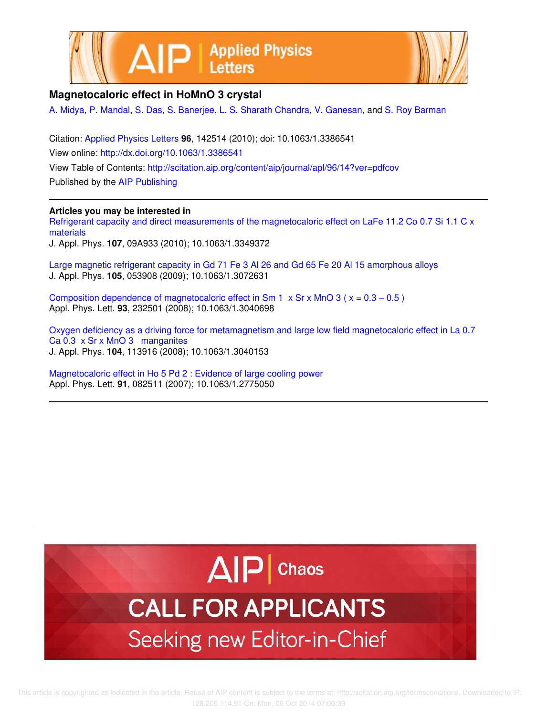



## **Magnetocaloric effect in HoMnO 3 crystal**

A. Midya, P. Mandal, S. Das, S. Banerjee, L. S. Sharath Chandra, V. Ganesan, and S. Roy Barman

Citation: Applied Physics Letters **96**, 142514 (2010); doi: 10.1063/1.3386541 View online: http://dx.doi.org/10.1063/1.3386541 View Table of Contents: http://scitation.aip.org/content/aip/journal/apl/96/14?ver=pdfcov Published by the AIP Publishing

## **Articles you may be interested in**

Refrigerant capacity and direct measurements of the magnetocaloric effect on LaFe 11.2 Co 0.7 Si 1.1 C x materials

J. Appl. Phys. **107**, 09A933 (2010); 10.1063/1.3349372

Large magnetic refrigerant capacity in Gd 71 Fe 3 Al 26 and Gd 65 Fe 20 Al 15 amorphous alloys J. Appl. Phys. **105**, 053908 (2009); 10.1063/1.3072631

Composition dependence of magnetocaloric effect in Sm 1  $\times$  Sr  $\times$  MnO 3 ( $\times$  = 0.3 – 0.5) Appl. Phys. Lett. **93**, 232501 (2008); 10.1063/1.3040698

Oxygen deficiency as a driving force for metamagnetism and large low field magnetocaloric effect in La 0.7 Ca 0.3 x Sr x MnO 3 manganites J. Appl. Phys. **104**, 113916 (2008); 10.1063/1.3040153

Magnetocaloric effect in Ho 5 Pd 2 : Evidence of large cooling power Appl. Phys. Lett. **91**, 082511 (2007); 10.1063/1.2775050



## **CALL FOR APPLICANTS** Seeking new Editor-in-Chief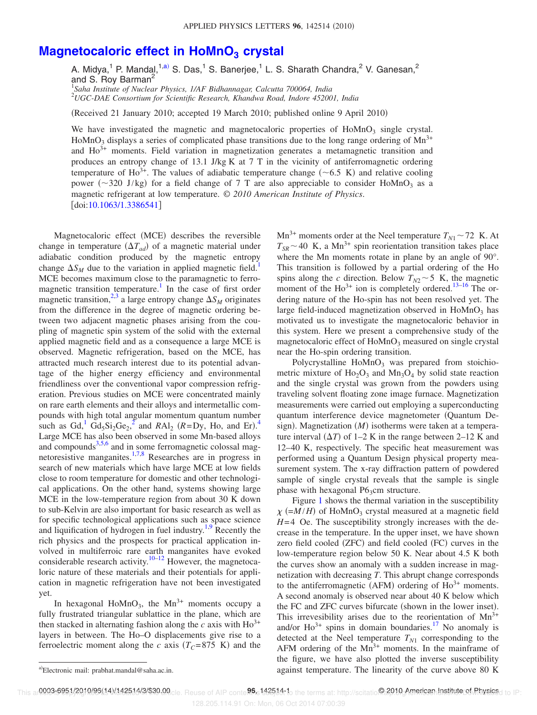## **Magnetocaloric effect in HoMnO<sub>3</sub> crystal**

A. Midya,<sup>1</sup> P. Mandal,<sup>1,a)</sup> S. Das,<sup>1</sup> S. Banerjee,<sup>1</sup> L. S. Sharath Chandra,<sup>2</sup> V. Ganesan,<sup>2</sup> and S. Roy Barman<sup>2</sup> 1 *Saha Institute of Nuclear Physics, 1/AF Bidhannagar, Calcutta 700064, India*

<sup>2</sup>*UGC-DAE Consortium for Scientific Research, Khandwa Road, Indore 452001, India*

Received 21 January 2010; accepted 19 March 2010; published online 9 April 2010-

We have investigated the magnetic and magnetocaloric properties of  $H\text{oMnO}_3$  single crystal. HoMnO<sub>3</sub> displays a series of complicated phase transitions due to the long range ordering of  $Mn^{3+}$ and  $Ho3+$  moments. Field variation in magnetization generates a metamagnetic transition and produces an entropy change of 13.1 J/kg K at  $7$  T in the vicinity of antiferromagnetic ordering temperature of Ho<sup>3+</sup>. The values of adiabatic temperature change ( $\sim$ 6.5 K) and relative cooling power ( $\sim$ 320 J/kg) for a field change of 7 T are also appreciable to consider HoMnO<sub>3</sub> as a magnetic refrigerant at low temperature. © *2010 American Institute of Physics*. [doi:10.1063/1.3386541]

Magnetocaloric effect (MCE) describes the reversible change in temperature  $(\Delta T_{ad})$  of a magnetic material under adiabatic condition produced by the magnetic entropy change  $\Delta S_M$  due to the variation in applied magnetic field.<sup>1</sup> MCE becomes maximum close to the paramagnetic to ferromagnetic transition temperature.<sup>1</sup> In the case of first order magnetic transition,<sup>2,3</sup> a large entropy change  $\Delta S_M$  originates from the difference in the degree of magnetic ordering between two adjacent magnetic phases arising from the coupling of magnetic spin system of the solid with the external applied magnetic field and as a consequence a large MCE is observed. Magnetic refrigeration, based on the MCE, has attracted much research interest due to its potential advantage of the higher energy efficiency and environmental friendliness over the conventional vapor compression refrigeration. Previous studies on MCE were concentrated mainly on rare earth elements and their alloys and intermetallic compounds with high total angular momentum quantum number such as Gd,<sup>1</sup> Gd<sub>5</sub>Si<sub>2</sub>Ge<sub>2</sub>,<sup>2</sup> and *RAl<sub>2</sub>* (*R*=Dy, Ho, and Er).<sup>4</sup> Large MCE has also been observed in some Mn-based alloys and compounds<sup>3,5,6</sup> and in some ferromagnetic colossal magnetoresistive manganites.1,7,8 Researches are in progress in search of new materials which have large MCE at low fields close to room temperature for domestic and other technological applications. On the other hand, systems showing large MCE in the low-temperature region from about 30 K down to sub-Kelvin are also important for basic research as well as for specific technological applications such as space science and liquification of hydrogen in fuel industry.<sup>1,9</sup> Recently the rich physics and the prospects for practical application involved in multiferroic rare earth manganites have evoked considerable research activity.<sup>10–12</sup> However, the magnetocaloric nature of these materials and their potentials for application in magnetic refrigeration have not been investigated yet.

In hexagonal  $Hom_{3}$ , the  $Mn^{3+}$  moments occupy a fully frustrated triangular sublattice in the plane, which are then stacked in alternating fashion along the *c* axis with  $Ho^{3+}$ layers in between. The Ho–O displacements give rise to a ferroelectric moment along the *c* axis  $(T_C = 875 \text{ K})$  and the

 $Mn^{3+}$  moments order at the Neel temperature  $T_{N1} \sim 72$  K. At  $T_{SR}$  ~ 40 K, a Mn<sup>3+</sup> spin reorientation transition takes place where the Mn moments rotate in plane by an angle of 90°. This transition is followed by a partial ordering of the Ho spins along the *c* direction. Below  $T_{N2}$  ~ 5 K, the magnetic moment of the  $\text{Ho}^{3+}$  ion is completely ordered.<sup>13–16</sup> The ordering nature of the Ho-spin has not been resolved yet. The large field-induced magnetization observed in  $H_0MnO_3$  has motivated us to investigate the magnetocaloric behavior in this system. Here we present a comprehensive study of the magnetocaloric effect of HoMnO<sub>3</sub> measured on single crystal near the Ho-spin ordering transition.

Polycrystalline  $H \circ MnO_3$  was prepared from stoichiometric mixture of  $Ho<sub>2</sub>O<sub>3</sub>$  and  $Mn<sub>3</sub>O<sub>4</sub>$  by solid state reaction and the single crystal was grown from the powders using traveling solvent floating zone image furnace. Magnetization measurements were carried out employing a superconducting quantum interference device magnetometer Quantum Design). Magnetization (M) isotherms were taken at a temperature interval  $(\Delta T)$  of 1–2 K in the range between 2–12 K and 12–40 K, respectively. The specific heat measurement was performed using a Quantum Design physical property measurement system. The x-ray diffraction pattern of powdered sample of single crystal reveals that the sample is single phase with hexagonal  $P6<sub>3</sub>$ cm structure.

Figure 1 shows the thermal variation in the susceptibility  $\chi$  (= $M/H$ ) of HoMnO<sub>3</sub> crystal measured at a magnetic field *H*=4 Oe. The susceptibility strongly increases with the decrease in the temperature. In the upper inset, we have shown zero field cooled (ZFC) and field cooled (FC) curves in the low-temperature region below 50 K. Near about 4.5 K both the curves show an anomaly with a sudden increase in magnetization with decreasing *T*. This abrupt change corresponds to the antiferromagnetic (AFM) ordering of  $Ho^{3+}$  moments. A second anomaly is observed near about 40 K below which the FC and ZFC curves bifurcate (shown in the lower inset). This irrevesibility arises due to the reorientation of  $Mn^{3+}$ and/or  $Ho^{3+}$  spins in domain boundaries.<sup>17</sup> No anomaly is detected at the Neel temperature  $T_{N1}$  corresponding to the AFM ordering of the  $Mn^{3+}$  moments. In the mainframe of the figure, we have also plotted the inverse susceptibility against temperature. The linearity of the curve above  $80\,$  K

This ar**0003-6951/2010/96(14)/142514/3/\$30.00**cle. Reuse of AIP conte**96.** 142514: 1 the terms at: http://scitatio@2010-American-Instituteret. Physics<sub>d to IP:</sub>

128.205.114.91 On: Mon, 06 Oct 2014 07:00:39

Electronic mail: prabhat.mandal@saha.ac.in.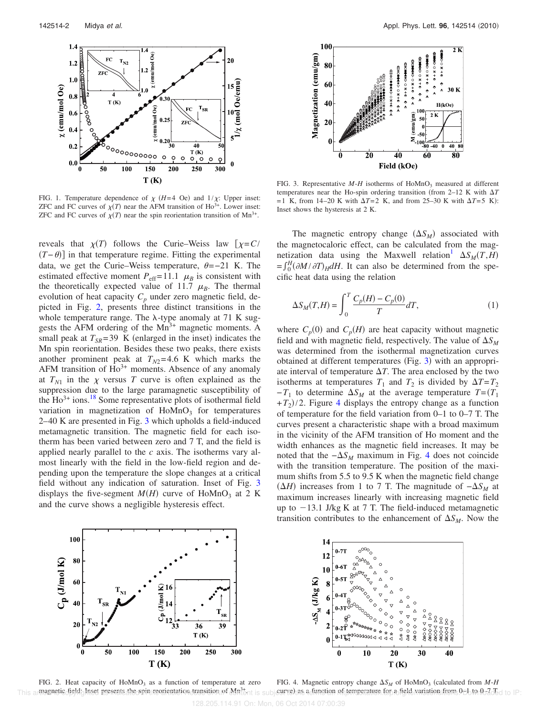

FIG. 1. Temperature dependence of  $\chi$  (*H*=4 Oe) and  $1/\chi$ : Upper inset: ZFC and FC curves of  $\chi(T)$  near the AFM transition of Ho<sup>3+</sup>. Lower inset: ZFC and FC curves of  $\chi(T)$  near the spin reorientation transition of Mn<sup>3+</sup>.

reveals that  $\chi(T)$  follows the Curie–Weiss law  $[\chi = C$ /  $(T - \theta)$  in that temperature regime. Fitting the experimental data, we get the Curie–Weiss temperature,  $\theta = -21$  K. The estimated effective moment  $P_{\text{eff}}=11.1 \mu_B$  is consistent with the theoretically expected value of 11.7  $\mu_B$ . The thermal evolution of heat capacity  $C_p$  under zero magnetic field, depicted in Fig. 2, presents three distinct transitions in the whole temperature range. The  $\lambda$ -type anomaly at 71 K suggests the AFM ordering of the  $Mn^{3+}$  magnetic moments. A small peak at  $T_{SR}$ =39 K (enlarged in the inset) indicates the Mn spin reorientation. Besides these two peaks, there exists another prominent peak at  $T_{N2}=4.6$  K which marks the AFM transition of  $Ho^{3+}$  moments. Absence of any anomaly at  $T_{N1}$  in the  $\chi$  versus *T* curve is often explained as the suppression due to the large paramagnetic susceptibility of the  $Ho^{3+}$  ions.<sup>18</sup> Some representative plots of isothermal field variation in magnetization of  $HoMnO<sub>3</sub>$  for temperatures 2–40 K are presented in Fig. 3 which upholds a field-induced metamagnetic transition. The magnetic field for each isotherm has been varied between zero and 7 T, and the field is applied nearly parallel to the *c* axis. The isotherms vary almost linearly with the field in the low-field region and depending upon the temperature the slope changes at a critical field without any indication of saturation. Inset of Fig. 3 displays the five-segment  $M(H)$  curve of HoMnO<sub>3</sub> at 2 K and the curve shows a negligible hysteresis effect.



FIG. 3. Representative  $M$ - $H$  isotherms of HoMnO<sub>3</sub> measured at different temperatures near the Ho-spin ordering transition (from  $2-12$  K with  $\Delta T$  $=1$  K, from 14–20 K with  $\Delta T = 2$  K, and from 25–30 K with  $\Delta T = 5$  K): Inset shows the hysteresis at 2 K.

The magnetic entropy change  $(\Delta S_M)$  associated with the magnetocaloric effect, can be calculated from the magnetization data using the Maxwell relation  $\Delta S_M(T,H)$  $=\int_0^H \left(\frac{\partial M}{\partial T}\right)_H dH$ . It can also be determined from the specific heat data using the relation

$$
\Delta S_M(T,H) = \int_0^T \frac{C_p(H) - C_p(0)}{T} dT,\tag{1}
$$

where  $C_p(0)$  and  $C_p(H)$  are heat capacity without magnetic field and with magnetic field, respectively. The value of  $\Delta S_M$ was determined from the isothermal magnetization curves obtained at different temperatures (Fig. 3) with an appropriate interval of temperature  $\Delta T$ . The area enclosed by the two isotherms at temperatures  $T_1$  and  $T_2$  is divided by  $\Delta T = T_2$  $-T_1$  to determine  $\Delta S_M$  at the average temperature  $T = (T_1)$  $+T_2$ /2. Figure 4 displays the entropy change as a function of temperature for the field variation from 0–1 to 0–7 T. The curves present a characteristic shape with a broad maximum in the vicinity of the AFM transition of Ho moment and the width enhances as the magnetic field increases. It may be noted that the −*S<sup>M</sup>* maximum in Fig. 4 does not coincide with the transition temperature. The position of the maximum shifts from 5.5 to 9.5 K when the magnetic field change  $(\Delta H)$  increases from 1 to 7 T. The magnitude of  $-\Delta S_M$  at maximum increases linearly with increasing magnetic field up to  $-13.1$  J/kg K at 7 T. The field-induced metamagnetic transition contributes to the enhancement of  $\Delta S_M$ . Now the



14  $12$ 10  $\Delta S_{\rm M}$  (J/kg K)  $\overline{2}$  $0 -$ বঁ  $\bf{0}$  $\mathbf{0}$ 10 20 30 40  $T(K)$ 

FIG. 2. Heat capacity of  $H_0MnO_3$  as a function of temperature at zero This amagnetic field; Inset presents the spin reorientation transition of Mn<sup>32</sup>mt is subjective) as a function of temperature for a field wariation from 0Eb to for do del to IP: FIG. 4. Magnetic entropy change  $\Delta S_M$  of HoMnO<sub>3</sub> (calculated from *M-H*